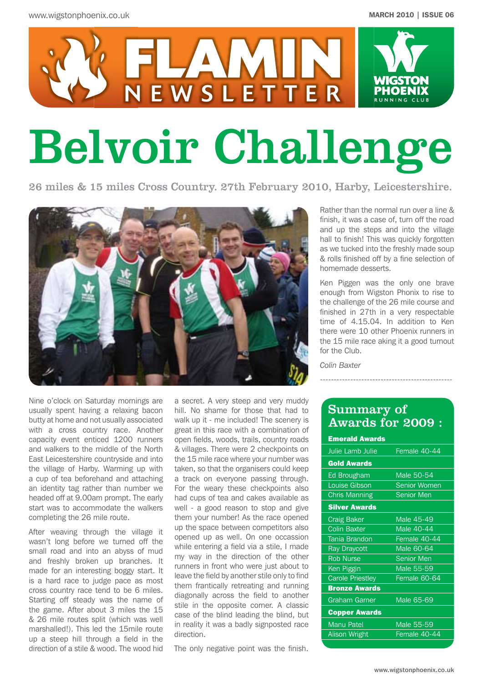

# Belvoir Challenge

26 miles & 15 miles Cross Country. 27th February 2010, Harby, Leicestershire.



Nine o'clock on Saturday mornings are usually spent having a relaxing bacon butty at home and not usually associated with a cross country race. Another capacity event enticed 1200 runners and walkers to the middle of the North East Leicestershire countryside and into the village of Harby. Warming up with a cup of tea beforehand and attaching an identity tag rather than number we headed off at 9.00am prompt. The early start was to accommodate the walkers completing the 26 mile route.

After weaving through the village it wasn't long before we turned off the small road and into an abyss of mud and freshly broken up branches. It made for an interesting boggy start. It is a hard race to judge pace as most cross country race tend to be 6 miles. Starting off steady was the name of the game. After about 3 miles the 15 & 26 mile routes split (which was well marshalled!). This led the 15mile route up a steep hill through a field in the direction of a stile & wood. The wood hid

a secret. A very steep and very muddy hill. No shame for those that had to walk up it - me included! The scenery is great in this race with a combination of open fields, woods, trails, country roads & villages. There were 2 checkpoints on the 15 mile race where your number was taken, so that the organisers could keep a track on everyone passing through. For the weary these checkpoints also had cups of tea and cakes available as well - a good reason to stop and give them your number! As the race opened up the space between competitors also opened up as well. On one occassion while entering a field via a stile, I made my way in the direction of the other runners in front who were just about to leave the field by another stile only to find them frantically retreating and running diagonally across the field to another stile in the opposite corner. A classic case of the blind leading the blind, but in reality it was a badly signposted race direction.

The only negative point was the finish.

Rather than the normal run over a line & finish, it was a case of, turn off the road and up the steps and into the village hall to finish! This was quickly forgotten as we tucked into the freshly made soup & rolls finished off by a fine selection of homemade desserts.

Ken Piggen was the only one brave enough from Wigston Phonix to rise to the challenge of the 26 mile course and finished in 27th in a very respectable time of 4.15.04. In addition to Ken there were 10 other Phoenix runners in the 15 mile race aking it a good turnout for the Club.

*Colin Baxter*

### Summary of Awards for 2009 :

------------------------------------------------

| <b>Emerald Awards</b>   |                     |
|-------------------------|---------------------|
| Julie Lamb Julie        | Female 40-44        |
| <b>Gold Awards</b>      |                     |
| Ed Brougham             | Male 50-54          |
| <b>Louise Gibson</b>    | <b>Senior Women</b> |
| <b>Chris Manning</b>    | <b>Senior Men</b>   |
| <b>Silver Awards</b>    |                     |
| <b>Craig Baker</b>      | Male 45-49          |
| <b>Colin Baxter</b>     | Male 40-44          |
| <b>Tania Brandon</b>    | Female 40-44        |
| <b>Ray Draycott</b>     | Male 60-64          |
| <b>Rob Nurse</b>        | <b>Senior Men</b>   |
| Ken Piggin              | Male 55-59          |
| <b>Carole Priestley</b> | Female 60-64        |
| <b>Bronze Awards</b>    |                     |
| <b>Graham Garner</b>    | Male 65-69          |
| <b>Copper Awards</b>    |                     |
| <b>Manu Patel</b>       | Male 55-59          |
| <b>Alison Wright</b>    | Female 40-44        |
|                         |                     |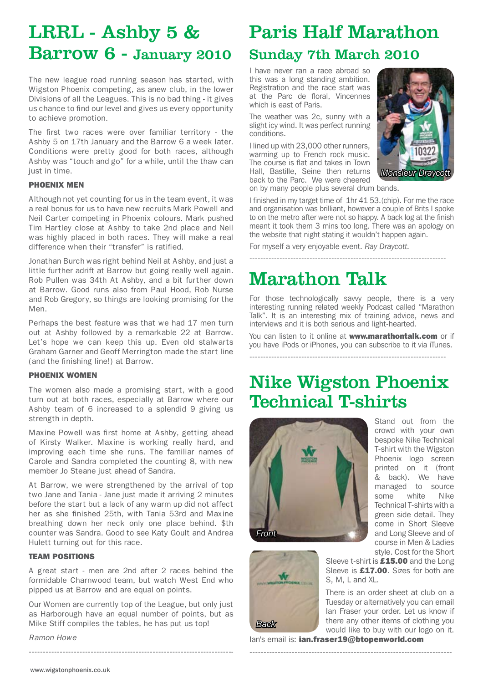## LRRL - Ashby 5 & Barrow 6 - January 2010

The new league road running season has started, with Wigston Phoenix competing, as anew club, in the lower Divisions of all the Leagues. This is no bad thing - it gives us chance to find our level and gives us every opportunity to achieve promotion.

The first two races were over familiar territory - the Ashby 5 on 17th January and the Barrow 6 a week later. Conditions were pretty good for both races, although Ashby was "touch and go" for a while, until the thaw can just in time.

#### PHOENIX MEN

Although not yet counting for us in the team event, it was a real bonus for us to have new recruits Mark Powell and Neil Carter competing in Phoenix colours. Mark pushed Tim Hartley close at Ashby to take 2nd place and Neil was highly placed in both races. They will make a real difference when their "transfer" is ratified.

Jonathan Burch was right behind Neil at Ashby, and just a little further adrift at Barrow but going really well again. Rob Pullen was 34th At Ashby, and a bit further down at Barrow. Good runs also from Paul Hood, Rob Nurse and Rob Gregory, so things are looking promising for the Men.

Perhaps the best feature was that we had 17 men turn out at Ashby followed by a remarkable 22 at Barrow. Let's hope we can keep this up. Even old stalwarts Graham Garner and Geoff Merrington made the start line (and the finishing line!) at Barrow.

#### PHOENIX WOMEN

The women also made a promising start, with a good turn out at both races, especially at Barrow where our Ashby team of 6 increased to a splendid 9 giving us strength in depth.

Maxine Powell was first home at Ashby, getting ahead of Kirsty Walker. Maxine is working really hard, and improving each time she runs. The familiar names of Carole and Sandra completed the counting 8, with new member Jo Steane just ahead of Sandra.

At Barrow, we were strengthened by the arrival of top two Jane and Tania - Jane just made it arriving 2 minutes before the start but a lack of any warm up did not affect her as she finished 25th, with Tania 53rd and Maxine breathing down her neck only one place behind. \$th counter was Sandra. Good to see Katy Goult and Andrea Hulett turning out for this race.

#### TEAM POSITIONS

A great start - men are 2nd after 2 races behind the formidable Charnwood team, but watch West End who pipped us at Barrow and are equal on points.

Our Women are currently top of the League, but only just as Harborough have an equal number of points, but as Mike Stiff compiles the tables, he has put us top!

-------------------------------------------------------------------------

*Ramon Howe*

### Paris Half Marathon

### Sunday 7th March 2010

I have never ran a race abroad so this was a long standing ambition. Registration and the race start was at the Parc de floral, Vincennes which is east of Paris.

The weather was 2c, sunny with a slight icy wind. It was perfect running conditions.

I lined up with 23,000 other runners, warming up to French rock music. The course is flat and takes in Town Hall, Bastille, Seine then returns back to the Parc. We were cheered on by many people plus several drum bands.



I finished in my target time of 1hr 41 53.(chip). For me the race and organisation was brilliant, however a couple of Brits I spoke to on the metro after were not so happy. A back log at the finish meant it took them 3 mins too long. There was an apology on the website that night stating it wouldn't happen again.

------------------------------------------------------------------------

For myself a very enjoyable event. *Ray Draycott.*

# Marathon Talk

For those technologically savvy people, there is a very interesting running related weekly Podcast called "Marathon Talk". It is an interesting mix of training advice, news and interviews and it is both serious and light-hearted.

You can listen to it online at www.marathontalk.com or if you have iPods or iPhones, you can subscribe to it via iTunes.

### ------------------------------------------------------------------------

### Nike Wigston Phoenix Technical T-shirts



Stand out from the crowd with your own bespoke Nike Technical T-shirt with the Wigston Phoenix logo screen printed on it (front & back). We have managed to source some white Nike Technical T-shirts with a green side detail. They come in Short Sleeve and Long Sleeve and of course in Men & Ladies style. Cost for the Short



Sleeve t-shirt is £15.00 and the Long Sleeve is £17.00. Sizes for both are S, M, L and XL.

There is an order sheet at club on a Tuesday or alternatively you can email Ian Fraser your order. Let us know if there any other items of clothing you would like to buy with our logo on it.

lan's email is: ian.fraser19@btopenworld.com

------------------------------------------------------------------------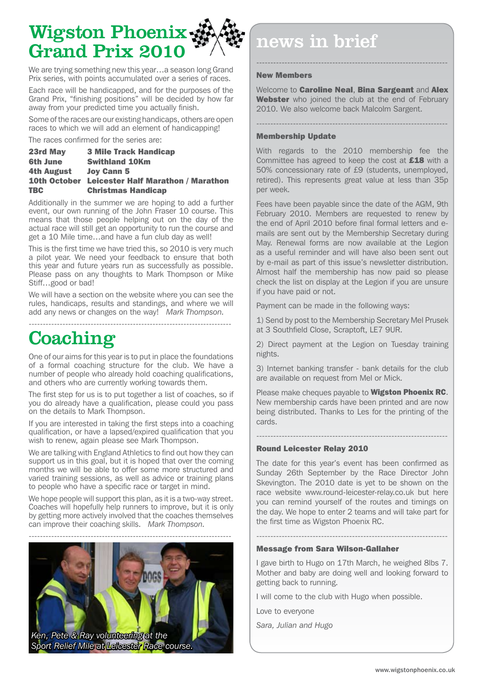# Wigston Phoenix Grand Prix 2010

We are trying something new this year...a season long Grand Prix series, with points accumulated over a series of races.

Each race will be handicapped, and for the purposes of the Grand Prix, "finishing positions" will be decided by how far away from your predicted time you actually finish.

Some of the races are our existing handicaps, others are open races to which we will add an element of handicapping!

The races confirmed for the series are:

| 23rd May        | <b>3 Mile Track Handicap</b>                           |
|-----------------|--------------------------------------------------------|
| <b>6th June</b> | <b>Swithland 10Km</b>                                  |
| 4th August      | <b>Joy Cann 5</b>                                      |
|                 | <b>10th October Leicester Half Marathon / Marathon</b> |
| <b>TBC</b>      | <b>Christmas Handicap</b>                              |

Additionally in the summer we are hoping to add a further event, our own running of the John Fraser 10 course. This means that those people helping out on the day of the actual race will still get an opportunity to run the course and get a 10 Mile time…and have a fun club day as well!

This is the first time we have tried this, so 2010 is very much a pilot year. We need your feedback to ensure that both this year and future years run as successfully as possible. Please pass on any thoughts to Mark Thompson or Mike Stiff…good or bad!

We will have a section on the website where you can see the rules, handicaps, results and standings, and where we will add any news or changes on the way! *Mark Thompson.*

------------------------------------------------------------------------

## **Coaching**

One of our aims for this year is to put in place the foundations of a formal coaching structure for the club. We have a number of people who already hold coaching qualifications, and others who are currently working towards them.

The first step for us is to put together a list of coaches, so if you do already have a qualification, please could you pass on the details to Mark Thompson.

If you are interested in taking the first steps into a coaching qualification, or have a lapsed/expired qualification that you wish to renew, again please see Mark Thompson.

We are talking with England Athletics to find out how they can support us in this goal, but it is hoped that over the coming months we will be able to offer some more structured and varied training sessions, as well as advice or training plans to people who have a specific race or target in mind.

We hope people will support this plan, as it is a two-way street. Coaches will hopefully help runners to improve, but it is only by getting more actively involved that the coaches themselves can improve their coaching skills. *Mark Thompson.*



# news in brief

#### New Members

Welcome to **Caroline Neal, Bina Sargeant** and **Alex** Webster who joined the club at the end of February 2010. We also welcome back Malcolm Sargent.

--------------------------------------------------------------------

--------------------------------------------------------------------

#### Membership Update

With regards to the 2010 membership fee the Committee has agreed to keep the cost at **£18** with a 50% concessionary rate of £9 (students, unemployed, retired). This represents great value at less than 35p per week.

Fees have been payable since the date of the AGM, 9th February 2010. Members are requested to renew by the end of April 2010 before final formal letters and emails are sent out by the Membership Secretary during May. Renewal forms are now available at the Legion as a useful reminder and will have also been sent out by e-mail as part of this issue's newsletter distribution. Almost half the membership has now paid so please check the list on display at the Legion if you are unsure if you have paid or not.

Payment can be made in the following ways:

1) Send by post to the Membership Secretary Mel Prusek at 3 Southfield Close, Scraptoft, LE7 9UR.

2) Direct payment at the Legion on Tuesday training nights.

3) Internet banking transfer - bank details for the club are available on request from Mel or Mick.

Please make cheques payable to **Wigston Phoenix RC**. New membership cards have been printed and are now being distributed. Thanks to Les for the printing of the cards.

--------------------------------------------------------------------

#### Round Leicester Relay 2010

The date for this year's event has been confirmed as Sunday 26th September by the Race Director John Skevington. The 2010 date is yet to be shown on the race website www.round-leicester-relay.co.uk but here you can remind yourself of the routes and timings on the day. We hope to enter 2 teams and will take part for the first time as Wigston Phoenix RC.

#### Message from Sara Wilson-Gallaher

I gave birth to Hugo on 17th March, he weighed 8lbs 7. Mother and baby are doing well and looking forward to getting back to running.

--------------------------------------------------------------------

I will come to the club with Hugo when possible.

Love to everyone

*Sara, Julian and Hugo*